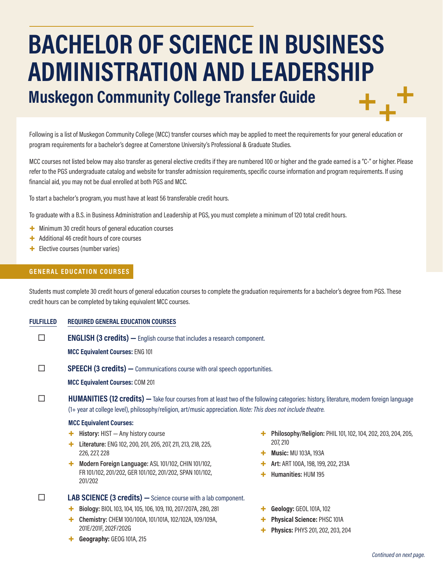# **BACHELOR OF SCIENCE IN BUSINESS ADMINISTRATION AND LEADERSHIP Muskegon Community College Transfer Guide**

Following is a list of Muskegon Community College (MCC) transfer courses which may be applied to meet the requirements for your general education or program requirements for a bachelor's degree at Cornerstone University's Professional & Graduate Studies.

MCC courses not listed below may also transfer as general elective credits if they are numbered 100 or higher and the grade earned is a "C-" or higher. Please refer to the PGS undergraduate catalog and website for transfer admission requirements, specific course information and program requirements. If using financial aid, you may not be dual enrolled at both PGS and MCC.

To start a bachelor's program, you must have at least 56 transferable credit hours.

To graduate with a B.S. in Business Administration and Leadership at PGS, you must complete a minimum of 120 total credit hours.

- + Minimum 30 credit hours of general education courses
- + Additional 46 credit hours of core courses
- + Elective courses (number varies)

# **GENERAL EDUCATION COURSES**

Students must complete 30 credit hours of general education courses to complete the graduation requirements for a bachelor's degree from PGS. These credit hours can be completed by taking equivalent MCC courses.

#### **FULFILLED REQUIRED GENERAL EDUCATION COURSES**

**ENGLISH (3 credits)** — English course that includes a research component.

**MCC Equivalent Courses:** ENG 101

**SPEECH (3 credits)** — Communications course with oral speech opportunities.

**MCC Equivalent Courses:** COM 201

**HUMANITIES (12 credits)** — Take four courses from at least two of the following categories: history, literature, modern foreign language (1+ year at college level), philosophy/religion, art/music appreciation. *Note: This does not include theatre.*

#### **MCC Equivalent Courses:**

- + **History:** HIST Any history course
- + **Literature:** ENG 102, 200, 201, 205, 207, 211, 213, 218, 225, 226, 227, 228
- + **Modern Foreign Language:** ASL 101/102, CHIN 101/102, FR 101/102, 201/202, GER 101/102, 201/202, SPAN 101/102, 201/202

 **LAB SCIENCE (3 credits) —**Science course with a lab component.

- + **Biology:** BIOL 103, 104, 105, 106, 109, 110, 207/207A, 280, 281
- + **Chemistry:** CHEM 100/100A, 101/101A, 102/102A, 109/109A, 201E/201F, 202F/202G
- + **Geography:** GEOG 101A, 215
- + **Philosophy/Religion:** PHIL 101, 102, 104, 202, 203, 204, 205, 207, 210
- + **Music:** MU 103A, 193A
- + **Art:** ART 100A, 198, 199, 202, 213A
	- + **Humanities:** HUM 195
- + **Geology:** GEOL 101A, 102
- + **Physical Science:** PHSC 101A
- + **Physics:** PHYS 201, 202, 203, 204